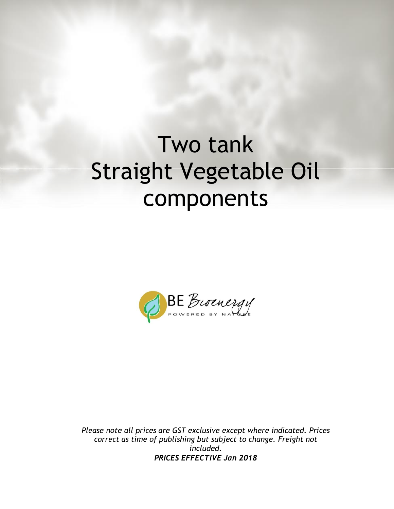# Two tank Straight Vegetable Oil components



*Please note all prices are GST exclusive except where indicated. Prices correct as time of publishing but subject to change. Freight not included. PRICES EFFECTIVE Jan 2018*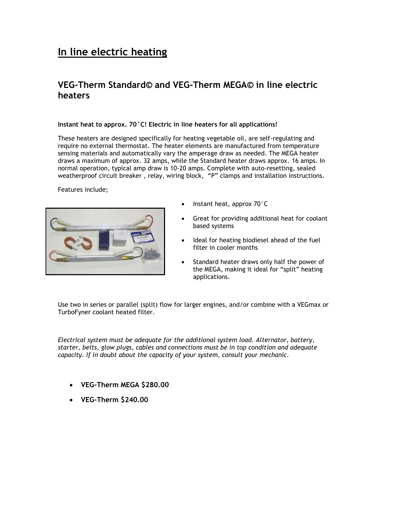## **In line electric heating**

#### **VEG-Therm Standard© and VEG-Therm MEGA© in line electric heaters**

#### **Instant heat to approx. 70°C! Electric in line heaters for all applications!**

These heaters are designed specifically for heating vegetable oil, are self-regulating and require no external thermostat. The heater elements are manufactured from temperature sensing materials and automatically vary the amperage draw as needed. The MEGA heater draws a maximum of approx. 32 amps, while the Standard heater draws approx. 16 amps. In normal operation, typical amp draw is 10-20 amps. Complete with auto-resetting, sealed weatherproof circuit breaker , relay, wiring block, "P" clamps and installation instructions.

Features include;



- Instant heat, approx 70°C
- Great for providing additional heat for coolant based systems
- Ideal for heating biodiesel ahead of the fuel filter in cooler months
- Standard heater draws only half the power of the MEGA, making it ideal for "split" heating applications.

Use two in series or parallel (split) flow for larger engines, and/or combine with a VEGmax or TurboFyner coolant heated filter.

*Electrical system must be adequate for the additional system load. Alternator, battery, starter, belts, glow plugs, cables and connections must be in top condition and adequate capacity. If in doubt about the capacity of your system, consult your mechanic.*

- **VEG-Therm MEGA \$280.00**
- **VEG-Therm \$240.00**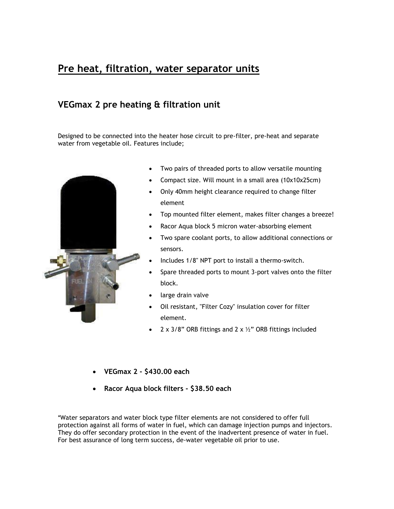## **Pre heat, filtration, water separator units**

#### **VEGmax 2 pre heating & filtration unit**

Designed to be connected into the heater hose circuit to pre-filter, pre-heat and separate water from vegetable oil. Features include;



- Two pairs of threaded ports to allow versatile mounting
- Compact size. Will mount in a small area (10x10x25cm)
- Only 40mm height clearance required to change filter element
- Top mounted filter element, makes filter changes a breeze!
- Racor Aqua block 5 micron water-absorbing element
- Two spare coolant ports, to allow additional connections or sensors.
- Includes 1/8" NPT port to install a thermo-switch.
- Spare threaded ports to mount 3-port valves onto the filter block.
- large drain valve
- Oil resistant, "Filter Cozy" insulation cover for filter element.
- 2 x 3/8" ORB fittings and 2 x  $\frac{1}{2}$ " ORB fittings included
- **VEGmax 2 - \$430.00 each**
- **Racor Aqua block filters - \$38.50 each**

\*Water separators and water block type filter elements are not considered to offer full protection against all forms of water in fuel, which can damage injection pumps and injectors. They do offer secondary protection in the event of the inadvertent presence of water in fuel. For best assurance of long term success, de-water vegetable oil prior to use.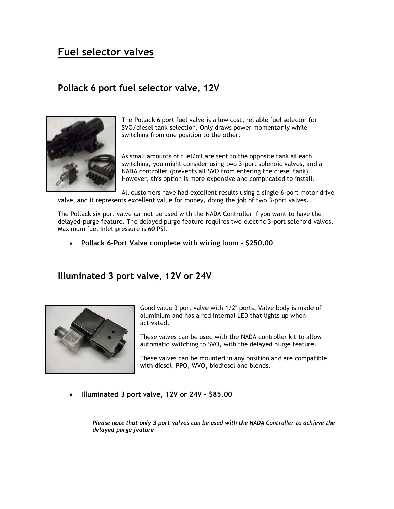## **Fuel selector valves**

#### **Pollack 6 port fuel selector valve, 12V**



The Pollack 6 port fuel valve is a low cost, reliable fuel selector for SVO/diesel tank selection. Only draws power momentarily while switching from one position to the other.

As small amounts of fuel/oil are sent to the opposite tank at each switching, you might consider using two 3-port solenoid valves, and a NADA controller (prevents all SVO from entering the diesel tank). However, this option is more expensive and complicated to install.

All customers have had excellent results using a single 6-port motor drive valve, and it represents excellent value for money, doing the job of two 3-port valves.

The Pollack six port valve cannot be used with the NADA Controller if you want to have the delayed-purge feature. The delayed purge feature requires two electric 3-port solenoid valves. Maximum fuel Inlet pressure is 60 PSI.

**Pollack 6-Port Valve complete with wiring loom - \$250.00**

#### **Illuminated 3 port valve, 12V or 24V**



Good value 3 port valve with 1/2" ports. Valve body is made of aluminium and has a red internal LED that lights up when activated.

These valves can be used with the NADA controller kit to allow automatic switching to SVO, with the delayed purge feature.

These valves can be mounted in any position and are compatible with diesel, PPO, WVO, biodiesel and blends.

**Illuminated 3 port valve, 12V or 24V - \$85.00**

*Please note that only 3 port valves can be used with the NADA Controller to achieve the delayed purge feature.*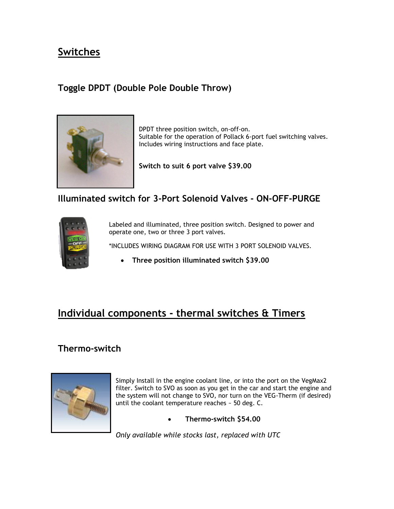## **Switches**

## **Toggle DPDT (Double Pole Double Throw)**



DPDT three position switch, on-off-on. Suitable for the operation of Pollack 6-port fuel switching valves. Includes wiring instructions and face plate.

**Switch to suit 6 port valve \$39.00**

#### **Illuminated switch for 3-Port Solenoid Valves - ON-OFF-PURGE**



Labeled and illuminated, three position switch. Designed to power and operate one, two or three 3 port valves.

\*INCLUDES WIRING DIAGRAM FOR USE WITH 3 PORT SOLENOID VALVES.

**Three position illuminated switch \$39.00**

# **Individual components - thermal switches & Timers**

#### **Thermo-switch**



Simply Install in the engine coolant line, or into the port on the VegMax2 filter. Switch to SVO as soon as you get in the car and start the engine and the system will not change to SVO, nor turn on the VEG-Therm (if desired) until the coolant temperature reaches ~ 50 deg. C.

**Thermo-switch \$54.00**

*Only available while stocks last, replaced with UTC*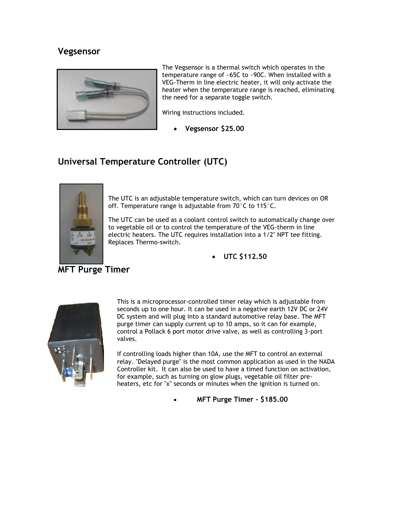#### **Vegsensor**



The Vegsensor is a thermal switch which operates in the temperature range of ~65C to ~90C. When installed with a VEG-Therm in line electric heater, it will only activate the heater when the temperature range is reached, eliminating the need for a separate toggle switch.

Wiring instructions included.

**Vegsensor \$25.00**

#### **Universal Temperature Controller (UTC)**



The UTC is an adjustable temperature switch, which can turn devices on OR off. Temperature range is adjustable from 70°C to 115°C.

The UTC can be used as a coolant control switch to automatically change over to vegetable oil or to control the temperature of the VEG-therm in line electric heaters. The UTC requires installation into a 1/2" NPT tee fitting. Replaces Thermo-switch.

**UTC \$112.50**



This is a microprocessor-controlled timer relay which is adjustable from seconds up to one hour. It can be used in a negative earth 12V DC or 24V DC system and will plug into a standard automotive relay base. The MFT purge timer can supply current up to 10 amps, so it can for example, control a Pollack 6 port motor drive valve, as well as controlling 3-port valves.

If controlling loads higher than 10A, use the MFT to control an external relay. "Delayed purge" is the most common application as used in the NADA Controller kit. It can also be used to have a timed function on activation, for example, such as turning on glow plugs, vegetable oil filter preheaters, etc for "x" seconds or minutes when the ignition is turned on.

**MFT Purge Timer - \$185.00**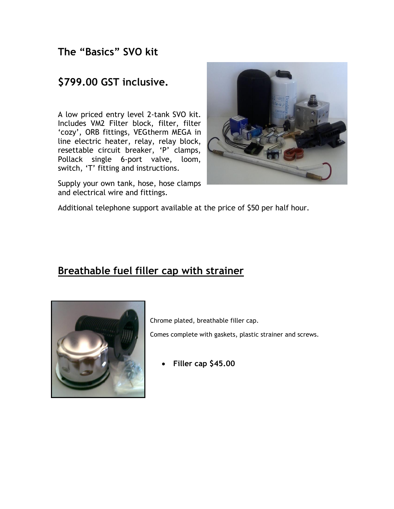## **The "Basics" SVO kit**

## **\$799.00 GST inclusive.**

A low priced entry level 2-tank SVO kit. Includes VM2 Filter block, filter, filter 'cozy', ORB fittings, VEGtherm MEGA in line electric heater, relay, relay block, resettable circuit breaker, 'P' clamps, Pollack single 6-port valve, loom, switch, 'T' fitting and instructions.

Supply your own tank, hose, hose clamps and electrical wire and fittings.



Additional telephone support available at the price of \$50 per half hour.

## **Breathable fuel filler cap with strainer**



Chrome plated, breathable filler cap.

Comes complete with gaskets, plastic strainer and screws.

**Filler cap \$45.00**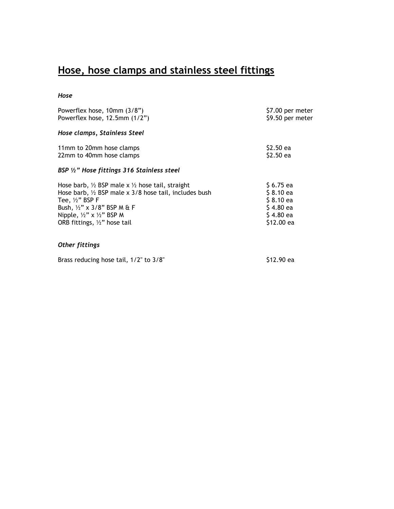# **Hose, hose clamps and stainless steel fittings**

#### *Hose*

| Powerflex hose, 10mm (3/8")<br>Powerflex hose, $12.5$ mm $(1/2")$                                                                                                                                                                                                                                    | \$7.00 per meter<br>\$9.50 per meter                                           |
|------------------------------------------------------------------------------------------------------------------------------------------------------------------------------------------------------------------------------------------------------------------------------------------------------|--------------------------------------------------------------------------------|
| Hose clamps, Stainless Steel                                                                                                                                                                                                                                                                         |                                                                                |
| 11mm to 20mm hose clamps<br>22mm to 40mm hose clamps                                                                                                                                                                                                                                                 | \$2.50 ea<br>\$2.50 ea                                                         |
| BSP $\frac{1}{2}$ " Hose fittings 316 Stainless steel                                                                                                                                                                                                                                                |                                                                                |
| Hose barb, $\frac{1}{2}$ BSP male x $\frac{1}{2}$ hose tail, straight<br>Hose barb, $\frac{1}{2}$ BSP male x 3/8 hose tail, includes bush<br>Tee, $\frac{1}{2}$ " BSP F<br>Bush, 1/2" x 3/8" BSP M & F<br>Nipple, $\frac{1}{2}$ " x $\frac{1}{2}$ " BSP M<br>ORB fittings, $\frac{1}{2}$ " hose tail | \$6.75 ea<br>$$8.10$ ea<br>$$8.10$ ea<br>\$4.80 ea<br>$$4.80$ ea<br>\$12.00 ea |
| <b>Other fittings</b>                                                                                                                                                                                                                                                                                |                                                                                |
| Brass reducing hose tail, 1/2" to 3/8"                                                                                                                                                                                                                                                               | S12.90 ea                                                                      |